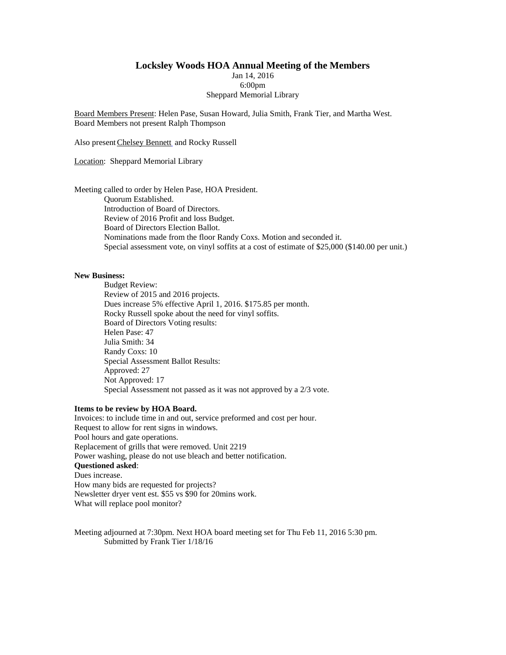#### **Locksley Woods HOA Annual Meeting of the Members**

Jan 14, 2016 6:00pm Sheppard Memorial Library

Board Members Present: Helen Pase, Susan Howard, Julia Smith, Frank Tier, and Martha West. Board Members not present Ralph Thompson

Also present Chelsey Bennett and Rocky Russell

Location: Sheppard Memorial Library

Meeting called to order by Helen Pase, HOA President.

Quorum Established. Introduction of Board of Directors. Review of 2016 Profit and loss Budget. Board of Directors Election Ballot. Nominations made from the floor Randy Coxs. Motion and seconded it. Special assessment vote, on vinyl soffits at a cost of estimate of \$25,000 (\$140.00 per unit.)

#### **New Business:**

Budget Review: Review of 2015 and 2016 projects. Dues increase 5% effective April 1, 2016. \$175.85 per month. Rocky Russell spoke about the need for vinyl soffits. Board of Directors Voting results: Helen Pase: 47 Julia Smith: 34 Randy Coxs: 10 Special Assessment Ballot Results: Approved: 27 Not Approved: 17 Special Assessment not passed as it was not approved by a 2/3 vote.

#### **Items to be review by HOA Board.**

Invoices: to include time in and out, service preformed and cost per hour. Request to allow for rent signs in windows. Pool hours and gate operations. Replacement of grills that were removed. Unit 2219 Power washing, please do not use bleach and better notification. **Questioned asked**: Dues increase. How many bids are requested for projects? Newsletter dryer vent est. \$55 vs \$90 for 20mins work. What will replace pool monitor?

Meeting adjourned at 7:30pm. Next HOA board meeting set for Thu Feb 11, 2016 5:30 pm. Submitted by Frank Tier 1/18/16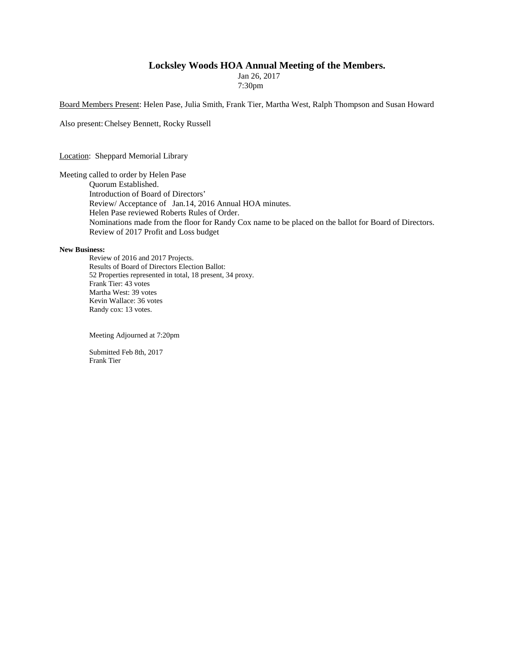### **Locksley Woods HOA Annual Meeting of the Members.**

Jan 26, 2017 7:30pm

Board Members Present: Helen Pase, Julia Smith, Frank Tier, Martha West, Ralph Thompson and Susan Howard

Also present:Chelsey Bennett, Rocky Russell

Location: Sheppard Memorial Library

Meeting called to order by Helen Pase Quorum Established. Introduction of Board of Directors' Review/ Acceptance of Jan.14, 2016 Annual HOA minutes. Helen Pase reviewed Roberts Rules of Order. Nominations made from the floor for Randy Cox name to be placed on the ballot for Board of Directors. Review of 2017 Profit and Loss budget

#### **New Business:**

Review of 2016 and 2017 Projects. Results of Board of Directors Election Ballot: 52 Properties represented in total, 18 present, 34 proxy. Frank Tier: 43 votes Martha West: 39 votes Kevin Wallace: 36 votes Randy cox: 13 votes.

Meeting Adjourned at 7:20pm

Submitted Feb 8th, 2017 Frank Tier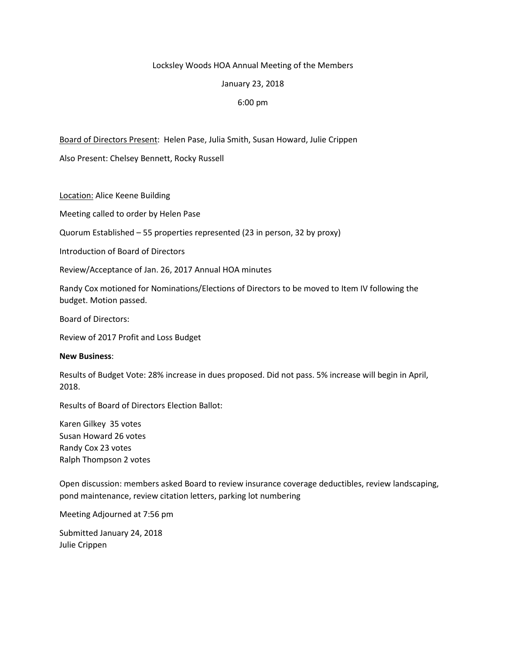### Locksley Woods HOA Annual Meeting of the Members

### January 23, 2018

# 6:00 pm

Board of Directors Present: Helen Pase, Julia Smith, Susan Howard, Julie Crippen

Also Present: Chelsey Bennett, Rocky Russell

Location: Alice Keene Building

Meeting called to order by Helen Pase

Quorum Established – 55 properties represented (23 in person, 32 by proxy)

Introduction of Board of Directors

Review/Acceptance of Jan. 26, 2017 Annual HOA minutes

Randy Cox motioned for Nominations/Elections of Directors to be moved to Item IV following the budget. Motion passed.

Board of Directors:

Review of 2017 Profit and Loss Budget

#### **New Business**:

Results of Budget Vote: 28% increase in dues proposed. Did not pass. 5% increase will begin in April, 2018.

Results of Board of Directors Election Ballot:

Karen Gilkey 35 votes Susan Howard 26 votes Randy Cox 23 votes Ralph Thompson 2 votes

Open discussion: members asked Board to review insurance coverage deductibles, review landscaping, pond maintenance, review citation letters, parking lot numbering

Meeting Adjourned at 7:56 pm

Submitted January 24, 2018 Julie Crippen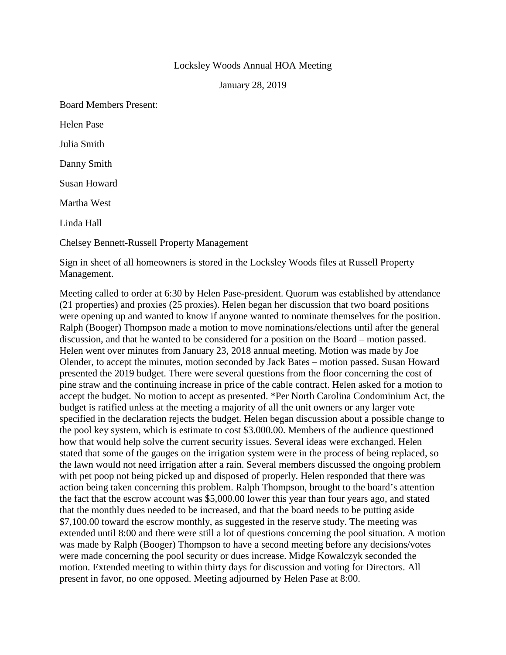# Locksley Woods Annual HOA Meeting

January 28, 2019

Board Members Present: Helen Pase Julia Smith Danny Smith Susan Howard Martha West Linda Hall Chelsey Bennett-Russell Property Management

Sign in sheet of all homeowners is stored in the Locksley Woods files at Russell Property Management.

Meeting called to order at 6:30 by Helen Pase-president. Quorum was established by attendance (21 properties) and proxies (25 proxies). Helen began her discussion that two board positions were opening up and wanted to know if anyone wanted to nominate themselves for the position. Ralph (Booger) Thompson made a motion to move nominations/elections until after the general discussion, and that he wanted to be considered for a position on the Board – motion passed. Helen went over minutes from January 23, 2018 annual meeting. Motion was made by Joe Olender, to accept the minutes, motion seconded by Jack Bates – motion passed. Susan Howard presented the 2019 budget. There were several questions from the floor concerning the cost of pine straw and the continuing increase in price of the cable contract. Helen asked for a motion to accept the budget. No motion to accept as presented. \*Per North Carolina Condominium Act, the budget is ratified unless at the meeting a majority of all the unit owners or any larger vote specified in the declaration rejects the budget. Helen began discussion about a possible change to the pool key system, which is estimate to cost \$3.000.00. Members of the audience questioned how that would help solve the current security issues. Several ideas were exchanged. Helen stated that some of the gauges on the irrigation system were in the process of being replaced, so the lawn would not need irrigation after a rain. Several members discussed the ongoing problem with pet poop not being picked up and disposed of properly. Helen responded that there was action being taken concerning this problem. Ralph Thompson, brought to the board's attention the fact that the escrow account was \$5,000.00 lower this year than four years ago, and stated that the monthly dues needed to be increased, and that the board needs to be putting aside \$7,100.00 toward the escrow monthly, as suggested in the reserve study. The meeting was extended until 8:00 and there were still a lot of questions concerning the pool situation. A motion was made by Ralph (Booger) Thompson to have a second meeting before any decisions/votes were made concerning the pool security or dues increase. Midge Kowalczyk seconded the motion. Extended meeting to within thirty days for discussion and voting for Directors. All present in favor, no one opposed. Meeting adjourned by Helen Pase at 8:00.